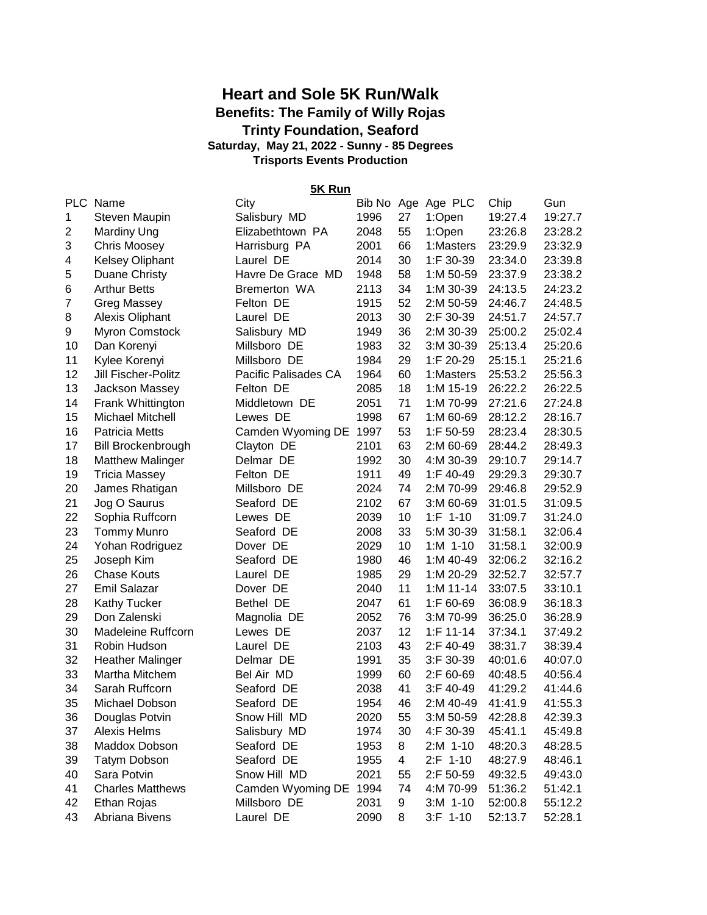## **Heart and Sole 5K Run/Walk Benefits: The Family of Willy Rojas Trinty Foundation, Seaford Trisports Events Production Saturday, May 21, 2022 - Sunny - 85 Degrees**

**5K Run**

| <b>PLC</b>     | Name                      | City                 |      |    | Bib No Age Age PLC | Chip    | Gun     |
|----------------|---------------------------|----------------------|------|----|--------------------|---------|---------|
| 1              | Steven Maupin             | Salisbury MD         | 1996 | 27 | 1:Open             | 19:27.4 | 19:27.7 |
| $\overline{c}$ | <b>Mardiny Ung</b>        | Elizabethtown PA     | 2048 | 55 | 1:Open             | 23:26.8 | 23:28.2 |
| 3              | <b>Chris Moosey</b>       | Harrisburg PA        | 2001 | 66 | 1:Masters          | 23:29.9 | 23:32.9 |
| 4              | <b>Kelsey Oliphant</b>    | Laurel DE            | 2014 | 30 | 1:F 30-39          | 23:34.0 | 23:39.8 |
| 5              | Duane Christy             | Havre De Grace MD    | 1948 | 58 | 1:M 50-59          | 23:37.9 | 23:38.2 |
| 6              | <b>Arthur Betts</b>       | Bremerton WA         | 2113 | 34 | 1:M 30-39          | 24:13.5 | 24:23.2 |
| 7              | <b>Greg Massey</b>        | Felton DE            | 1915 | 52 | 2:M 50-59          | 24:46.7 | 24:48.5 |
| 8              | <b>Alexis Oliphant</b>    | Laurel DE            | 2013 | 30 | 2:F 30-39          | 24:51.7 | 24:57.7 |
| 9              | <b>Myron Comstock</b>     | Salisbury MD         | 1949 | 36 | 2:M 30-39          | 25:00.2 | 25:02.4 |
| 10             | Dan Korenyi               | Millsboro DE         | 1983 | 32 | 3:M 30-39          | 25:13.4 | 25:20.6 |
| 11             | Kylee Korenyi             | Millsboro DE         | 1984 | 29 | 1:F 20-29          | 25:15.1 | 25:21.6 |
| 12             | Jill Fischer-Politz       | Pacific Palisades CA | 1964 | 60 | 1:Masters          | 25:53.2 | 25:56.3 |
| 13             | Jackson Massey            | Felton DE            | 2085 | 18 | 1:M 15-19          | 26:22.2 | 26:22.5 |
| 14             | Frank Whittington         | Middletown DE        | 2051 | 71 | 1:M 70-99          | 27:21.6 | 27:24.8 |
| 15             | Michael Mitchell          | Lewes DE             | 1998 | 67 | 1:M 60-69          | 28:12.2 | 28:16.7 |
| 16             | <b>Patricia Metts</b>     | Camden Wyoming DE    | 1997 | 53 | 1:F 50-59          | 28:23.4 | 28:30.5 |
| 17             | <b>Bill Brockenbrough</b> | Clayton DE           | 2101 | 63 | 2:M 60-69          | 28:44.2 | 28:49.3 |
| 18             | <b>Matthew Malinger</b>   | Delmar DE            | 1992 | 30 | 4:M 30-39          | 29:10.7 | 29:14.7 |
| 19             | <b>Tricia Massey</b>      | Felton DE            | 1911 | 49 | 1:F 40-49          | 29:29.3 | 29:30.7 |
| 20             | James Rhatigan            | Millsboro DE         | 2024 | 74 | 2:M 70-99          | 29:46.8 | 29:52.9 |
| 21             | Jog O Saurus              | Seaford DE           | 2102 | 67 | 3:M 60-69          | 31:01.5 | 31:09.5 |
| 22             | Sophia Ruffcorn           | Lewes DE             | 2039 | 10 | $1:F 1-10$         | 31:09.7 | 31:24.0 |
| 23             | <b>Tommy Munro</b>        | Seaford DE           | 2008 | 33 | 5:M 30-39          | 31:58.1 | 32:06.4 |
| 24             | Yohan Rodriguez           | Dover DE             | 2029 | 10 | $1: M$ 1-10        | 31:58.1 | 32:00.9 |
| 25             | Joseph Kim                | Seaford DE           | 1980 | 46 | 1:M 40-49          | 32:06.2 | 32:16.2 |
| 26             | <b>Chase Kouts</b>        | Laurel DE            | 1985 | 29 | 1:M 20-29          | 32:52.7 | 32:57.7 |
| 27             | <b>Emil Salazar</b>       | Dover DE             | 2040 | 11 | $1: M 11-14$       | 33:07.5 | 33:10.1 |
| 28             | <b>Kathy Tucker</b>       | Bethel DE            | 2047 | 61 | 1:F 60-69          | 36:08.9 | 36:18.3 |
| 29             | Don Zalenski              | Magnolia DE          | 2052 | 76 | 3:M 70-99          | 36:25.0 | 36:28.9 |
| 30             | Madeleine Ruffcorn        | Lewes DE             | 2037 | 12 | $1:$ F 11-14       | 37:34.1 | 37:49.2 |
| 31             | Robin Hudson              | Laurel DE            | 2103 | 43 | 2:F 40-49          | 38:31.7 | 38:39.4 |
| 32             | <b>Heather Malinger</b>   | Delmar DE            | 1991 | 35 | 3:F 30-39          | 40:01.6 | 40:07.0 |
| 33             | Martha Mitchem            | Bel Air MD           | 1999 | 60 | 2:F 60-69          | 40:48.5 | 40:56.4 |
| 34             | Sarah Ruffcorn            | Seaford DE           | 2038 | 41 | 3:F 40-49          | 41:29.2 | 41:44.6 |
| 35             | Michael Dobson            | Seaford DE           | 1954 | 46 | 2:M 40-49          | 41:41.9 | 41:55.3 |
| 36             | Douglas Potvin            | Snow Hill MD         | 2020 | 55 | 3:M 50-59          | 42:28.8 | 42:39.3 |
| 37             | <b>Alexis Helms</b>       | Salisbury MD         | 1974 | 30 | 4:F 30-39          | 45:41.1 | 45:49.8 |
| 38             | Maddox Dobson             | Seaford DE           | 1953 | 8  | $2:M$ 1-10         | 48:20.3 | 48:28.5 |
| 39             | <b>Tatym Dobson</b>       | Seaford DE           | 1955 | 4  | $2:$ F 1-10        | 48:27.9 | 48:46.1 |
| 40             | Sara Potvin               | Snow Hill MD         | 2021 | 55 | 2:F 50-59          | 49:32.5 | 49:43.0 |
| 41             | <b>Charles Matthews</b>   | Camden Wyoming DE    | 1994 | 74 | 4:M 70-99          | 51:36.2 | 51:42.1 |
| 42             | Ethan Rojas               | Millsboro DE         | 2031 | 9  | $3:M$ 1-10         | 52:00.8 | 55:12.2 |
| 43             | Abriana Bivens            | Laurel DE            | 2090 | 8  | $3:F 1-10$         | 52:13.7 | 52:28.1 |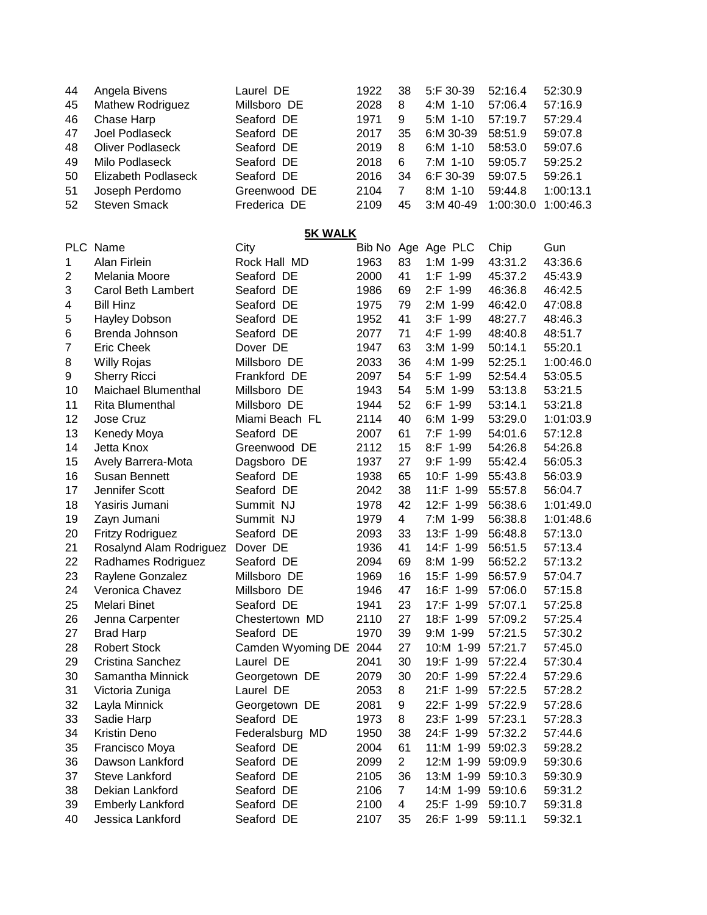| 44          | Angela Bivens              | Laurel DE         | 1922 | 38             | 5:F 30-39          | 52:16.4   | 52:30.9   |  |  |  |
|-------------|----------------------------|-------------------|------|----------------|--------------------|-----------|-----------|--|--|--|
| 45          | Mathew Rodriguez           | Millsboro DE      | 2028 | 8              | 4:M 1-10           | 57:06.4   | 57:16.9   |  |  |  |
| 46          | Chase Harp                 | Seaford DE        | 1971 | 9              | 5:M 1-10           | 57:19.7   | 57:29.4   |  |  |  |
| 47          | Joel Podlaseck             | Seaford DE        | 2017 | 35             | 6:M 30-39          | 58:51.9   | 59:07.8   |  |  |  |
| 48          | <b>Oliver Podlaseck</b>    | Seaford DE        | 2019 | 8              | $6:M$ 1-10         | 58:53.0   | 59:07.6   |  |  |  |
| 49          | Milo Podlaseck             | Seaford DE        | 2018 | 6              | 7:M 1-10           | 59:05.7   | 59:25.2   |  |  |  |
| 50          | Elizabeth Podlaseck        | Seaford DE        | 2016 | 34             | 6:F 30-39          | 59:07.5   | 59:26.1   |  |  |  |
| 51          | Joseph Perdomo             | Greenwood DE      | 2104 | $\overline{7}$ | $8: M$ 1-10        | 59:44.8   | 1:00:13.1 |  |  |  |
| 52          | <b>Steven Smack</b>        | Frederica DE      | 2109 | 45             | 3:M 40-49          | 1:00:30.0 | 1:00:46.3 |  |  |  |
|             |                            |                   |      |                |                    |           |           |  |  |  |
|             | <b>5K WALK</b>             |                   |      |                |                    |           |           |  |  |  |
|             | PLC Name                   | City              |      |                | Bib No Age Age PLC | Chip      | Gun       |  |  |  |
| $\mathbf 1$ | Alan Firlein               | Rock Hall MD      | 1963 | 83             | 1:M 1-99           | 43:31.2   | 43:36.6   |  |  |  |
| 2           | Melania Moore              | Seaford DE        | 2000 | 41             | 1:F 1-99           | 45:37.2   | 45:43.9   |  |  |  |
| 3           | Carol Beth Lambert         | Seaford DE        | 1986 | 69             | 2:F 1-99           | 46:36.8   | 46:42.5   |  |  |  |
| 4           | <b>Bill Hinz</b>           | Seaford DE        | 1975 | 79             | 2:M 1-99           | 46:42.0   | 47:08.8   |  |  |  |
| 5           | <b>Hayley Dobson</b>       | Seaford DE        | 1952 | 41             | 3:F 1-99           | 48:27.7   | 48:46.3   |  |  |  |
| 6           | Brenda Johnson             | Seaford DE        | 2077 | 71             | 4:F 1-99           | 48:40.8   | 48:51.7   |  |  |  |
| 7           | <b>Eric Cheek</b>          | Dover DE          | 1947 | 63             | 3:M 1-99           | 50:14.1   | 55:20.1   |  |  |  |
| 8           | <b>Willy Rojas</b>         | Millsboro DE      | 2033 | 36             | 4:M 1-99           | 52:25.1   | 1:00:46.0 |  |  |  |
| 9           | <b>Sherry Ricci</b>        | Frankford DE      | 2097 | 54             | 5:F 1-99           | 52:54.4   | 53:05.5   |  |  |  |
| 10          | <b>Maichael Blumenthal</b> | Millsboro DE      | 1943 | 54             | 5:M 1-99           | 53:13.8   | 53:21.5   |  |  |  |
| 11          | <b>Rita Blumenthal</b>     | Millsboro DE      | 1944 | 52             | 6:F 1-99           | 53:14.1   | 53:21.8   |  |  |  |
| 12          | Jose Cruz                  | Miami Beach FL    | 2114 | 40             | 6:M 1-99           | 53:29.0   | 1:01:03.9 |  |  |  |
| 13          | Kenedy Moya                | Seaford DE        | 2007 | 61             | 7:F 1-99           | 54:01.6   | 57:12.8   |  |  |  |
| 14          | Jetta Knox                 | Greenwood DE      | 2112 | 15             | 8:F 1-99           | 54:26.8   | 54:26.8   |  |  |  |
| 15          | Avely Barrera-Mota         | Dagsboro DE       | 1937 | 27             | 9:F 1-99           | 55:42.4   | 56:05.3   |  |  |  |
| 16          | Susan Bennett              | Seaford DE        | 1938 | 65             | 10:F 1-99          | 55:43.8   | 56:03.9   |  |  |  |
| 17          | Jennifer Scott             | Seaford DE        | 2042 | 38             | 11:F 1-99          | 55:57.8   | 56:04.7   |  |  |  |
| 18          | Yasiris Jumani             | Summit NJ         | 1978 | 42             | 12:F 1-99          | 56:38.6   | 1:01:49.0 |  |  |  |
| 19          | Zayn Jumani                | Summit NJ         | 1979 | $\overline{4}$ | 7:M 1-99           | 56:38.8   | 1:01:48.6 |  |  |  |
| 20          | <b>Fritzy Rodriguez</b>    | Seaford DE        | 2093 | 33             | 13:F 1-99          | 56:48.8   | 57:13.0   |  |  |  |
| 21          | Rosalynd Alam Rodriguez    | Dover DE          | 1936 | 41             | 14:F 1-99          | 56:51.5   | 57:13.4   |  |  |  |
| 22          | Radhames Rodriguez         | Seaford DE        | 2094 | 69             | 8:M 1-99           | 56:52.2   | 57:13.2   |  |  |  |
| 23          | Raylene Gonzalez           | Millsboro DE      | 1969 | 16             | 15:F 1-99          | 56:57.9   | 57:04.7   |  |  |  |
| 24          | Veronica Chavez            | Millsboro DE      | 1946 | 47             | 16:F 1-99          | 57:06.0   | 57:15.8   |  |  |  |
| 25          | Melari Binet               | Seaford DE        | 1941 | 23             | 17:F 1-99          | 57:07.1   | 57:25.8   |  |  |  |
| 26          | Jenna Carpenter            | Chestertown MD    | 2110 | 27             | 18:F 1-99          | 57:09.2   | 57:25.4   |  |  |  |
| 27          | <b>Brad Harp</b>           | Seaford DE        | 1970 | 39             | 9:M 1-99           | 57:21.5   | 57:30.2   |  |  |  |
| 28          | <b>Robert Stock</b>        | Camden Wyoming DE | 2044 | 27             | 10:M 1-99          | 57:21.7   | 57:45.0   |  |  |  |
| 29          | Cristina Sanchez           | Laurel DE         | 2041 | 30             | 19:F 1-99          | 57:22.4   | 57:30.4   |  |  |  |
| 30          | Samantha Minnick           | Georgetown DE     | 2079 | 30             | 20:F 1-99          | 57:22.4   | 57:29.6   |  |  |  |
| 31          | Victoria Zuniga            | Laurel DE         | 2053 | 8              | 21:F 1-99          | 57:22.5   | 57:28.2   |  |  |  |
| 32          | Layla Minnick              | Georgetown DE     | 2081 | 9              | 22:F 1-99          | 57:22.9   | 57:28.6   |  |  |  |
| 33          | Sadie Harp                 | Seaford DE        | 1973 | 8              | 23:F 1-99          | 57:23.1   | 57:28.3   |  |  |  |
| 34          | Kristin Deno               | Federalsburg MD   | 1950 | 38             | 24:F 1-99          | 57:32.2   | 57:44.6   |  |  |  |
| 35          | Francisco Moya             | Seaford DE        | 2004 | 61             | 11:M 1-99          | 59:02.3   | 59:28.2   |  |  |  |
| 36          | Dawson Lankford            | Seaford DE        | 2099 | $\overline{2}$ | 12:M 1-99          | 59:09.9   | 59:30.6   |  |  |  |
| 37          | Steve Lankford             | Seaford DE        | 2105 | 36             | 13:M 1-99          | 59:10.3   | 59:30.9   |  |  |  |
| 38          | Dekian Lankford            | Seaford DE        | 2106 | $\overline{7}$ | 14:M 1-99          | 59:10.6   | 59:31.2   |  |  |  |
| 39          | <b>Emberly Lankford</b>    | Seaford DE        | 2100 | 4              | 25:F 1-99          | 59:10.7   | 59:31.8   |  |  |  |
| 40          | Jessica Lankford           | Seaford DE        |      | 35             | 26:F 1-99          | 59:11.1   | 59:32.1   |  |  |  |
|             |                            |                   | 2107 |                |                    |           |           |  |  |  |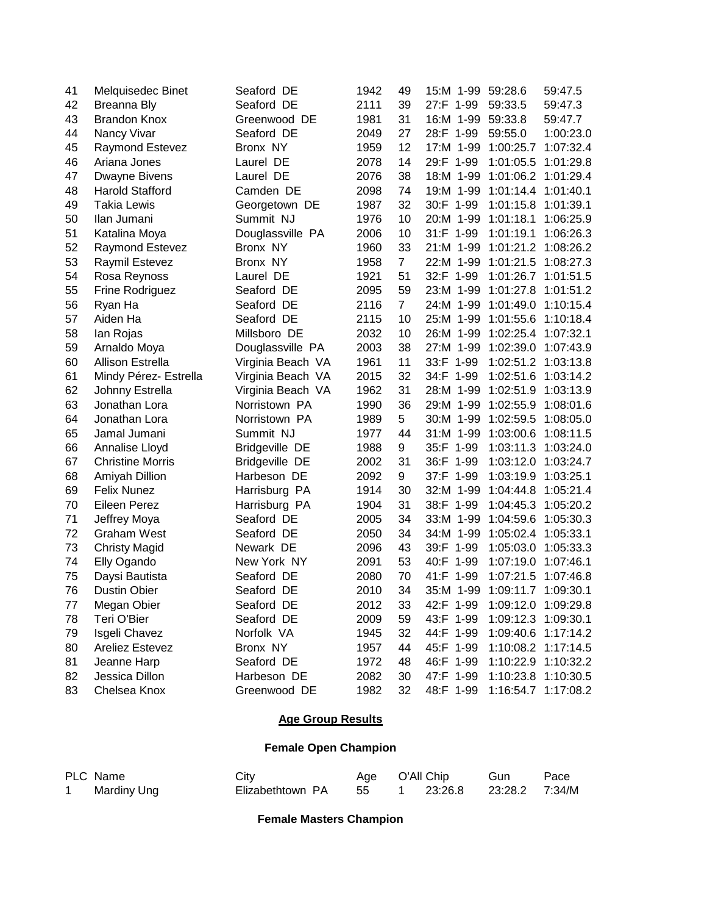| 41 | Melquisedec Binet       | Seaford DE            | 1942 | 49             | 15:M 1-99    | 59:28.6             | 59:47.5             |
|----|-------------------------|-----------------------|------|----------------|--------------|---------------------|---------------------|
| 42 | <b>Breanna Bly</b>      | Seaford DE            | 2111 | 39             | 27:F 1-99    | 59:33.5             | 59:47.3             |
| 43 | <b>Brandon Knox</b>     | Greenwood DE          | 1981 | 31             | 16:M 1-99    | 59:33.8             | 59:47.7             |
| 44 | Nancy Vivar             | Seaford DE            | 2049 | 27             | 28:F 1-99    | 59:55.0             | 1:00:23.0           |
| 45 | <b>Raymond Estevez</b>  | Bronx NY              | 1959 | 12             | 17:M 1-99    | 1:00:25.7           | 1:07:32.4           |
| 46 | Ariana Jones            | Laurel DE             | 2078 | 14             | 29:F 1-99    | 1:01:05.5           | 1:01:29.8           |
| 47 | Dwayne Bivens           | Laurel DE             | 2076 | 38             | 18:M 1-99    | 1:01:06.2           | 1:01:29.4           |
| 48 | <b>Harold Stafford</b>  | Camden DE             | 2098 | 74             | 19:M 1-99    | 1:01:14.4           | 1:01:40.1           |
| 49 | Takia Lewis             | Georgetown DE         | 1987 | 32             | 30:F 1-99    | 1:01:15.8           | 1:01:39.1           |
| 50 | Ilan Jumani             | Summit NJ             | 1976 | 10             | 20:M 1-99    | 1:01:18.1           | 1:06:25.9           |
| 51 | Katalina Moya           | Douglassville PA      | 2006 | 10             | 31:F 1-99    | 1:01:19.1           | 1:06:26.3           |
| 52 | <b>Raymond Estevez</b>  | Bronx NY              | 1960 | 33             | 21:M 1-99    | 1:01:21.2           | 1:08:26.2           |
| 53 | Raymil Estevez          | Bronx NY              | 1958 | $\overline{7}$ | 22:M 1-99    | 1:01:21.5           | 1:08:27.3           |
| 54 | Rosa Reynoss            | Laurel DE             | 1921 | 51             | 32:F 1-99    | 1:01:26.7           | 1:01:51.5           |
| 55 | Frine Rodriguez         | Seaford DE            | 2095 | 59             | 23:M 1-99    | 1:01:27.8           | 1:01:51.2           |
| 56 | Ryan Ha                 | Seaford DE            | 2116 | $\overline{7}$ | 24:M 1-99    | 1:01:49.0           | 1:10:15.4           |
| 57 | Aiden Ha                | Seaford DE            | 2115 | 10             | 25:M 1-99    | 1:01:55.6           | 1:10:18.4           |
| 58 | lan Rojas               | Millsboro DE          | 2032 | 10             | 26:M 1-99    | 1:02:25.4           | 1:07:32.1           |
| 59 | Arnaldo Moya            | Douglassville PA      | 2003 | 38             | 27:M 1-99    | 1:02:39.0           | 1:07:43.9           |
| 60 | <b>Allison Estrella</b> | Virginia Beach VA     | 1961 | 11             | 33:F<br>1-99 | 1:02:51.2           | 1:03:13.8           |
| 61 | Mindy Pérez- Estrella   | Virginia Beach VA     | 2015 | 32             | 34:F 1-99    | 1:02:51.6           | 1:03:14.2           |
| 62 | Johnny Estrella         | Virginia Beach VA     | 1962 | 31             | 28:M 1-99    | 1:02:51.9           | 1:03:13.9           |
| 63 | Jonathan Lora           | Norristown PA         | 1990 | 36             | 29:M 1-99    | 1:02:55.9           | 1:08:01.6           |
| 64 | Jonathan Lora           | Norristown PA         | 1989 | 5              | 30:M 1-99    | 1:02:59.5           | 1:08:05.0           |
| 65 | Jamal Jumani            | Summit NJ             | 1977 | 44             | 31:M 1-99    | 1:03:00.6           | 1:08:11.5           |
| 66 | Annalise Lloyd          | <b>Bridgeville DE</b> | 1988 | 9              | 35:F 1-99    | 1:03:11.3           | 1:03:24.0           |
| 67 | <b>Christine Morris</b> | <b>Bridgeville DE</b> | 2002 | 31             | 36:F 1-99    | 1:03:12.0           | 1:03:24.7           |
| 68 | Amiyah Dillion          | Harbeson DE           | 2092 | 9              | 37:F 1-99    | 1:03:19.9           | 1:03:25.1           |
| 69 | <b>Felix Nunez</b>      | Harrisburg PA         | 1914 | 30             | 32:M 1-99    | 1:04:44.8           | 1:05:21.4           |
| 70 | Eileen Perez            | Harrisburg PA         | 1904 | 31             | 38:F 1-99    | 1:04:45.3           | 1:05:20.2           |
| 71 | Jeffrey Moya            | Seaford DE            | 2005 | 34             | 33:M 1-99    | 1:04:59.6           | 1:05:30.3           |
| 72 | <b>Graham West</b>      | Seaford DE            | 2050 | 34             | 34:M 1-99    | 1:05:02.4           | 1:05:33.1           |
| 73 | <b>Christy Magid</b>    | Newark DE             | 2096 | 43             | 39:F 1-99    | 1:05:03.0           | 1:05:33.3           |
| 74 | Elly Ogando             | New York NY           | 2091 | 53             | 1-99<br>40:F | 1:07:19.0           | 1:07:46.1           |
| 75 | Daysi Bautista          | Seaford DE            | 2080 | 70             | 41:F 1-99    | 1:07:21.5           | 1:07:46.8           |
| 76 | <b>Dustin Obier</b>     | Seaford DE            | 2010 | 34             | 35:M 1-99    | 1:09:11.7 1:09:30.1 |                     |
| 77 | Megan Obier             | Seaford DE            | 2012 | 33             | 42:F 1-99    | 1:09:12.0 1:09:29.8 |                     |
| 78 | Teri O'Bier             | Seaford DE            | 2009 | 59             | 43:F 1-99    |                     | 1:09:12.3 1:09:30.1 |
| 79 | Isgeli Chavez           | Norfolk VA            | 1945 | 32             | 44:F 1-99    |                     | 1:09:40.6 1:17:14.2 |
| 80 | Areliez Estevez         | Bronx NY              | 1957 | 44             | 45:F 1-99    |                     | 1:10:08.2 1:17:14.5 |
| 81 | Jeanne Harp             | Seaford DE            | 1972 | 48             | 46:F 1-99    |                     | 1:10:22.9 1:10:32.2 |
| 82 | Jessica Dillon          | Harbeson DE           | 2082 | 30             | 47:F 1-99    |                     | 1:10:23.8 1:10:30.5 |
| 83 | Chelsea Knox            | Greenwood DE          | 1982 | 32             | 48:F 1-99    |                     | 1:16:54.7 1:17:08.2 |

## **Age Group Results**

## **Female Open Champion**

| PLC Name    | City                | Age O'All Chip |                             | Gun | Pace |
|-------------|---------------------|----------------|-----------------------------|-----|------|
| Mardiny Ung | Elizabethtown PA 55 |                | 1  23:26.8  23:28.2  7:34/M |     |      |

**Female Masters Champion**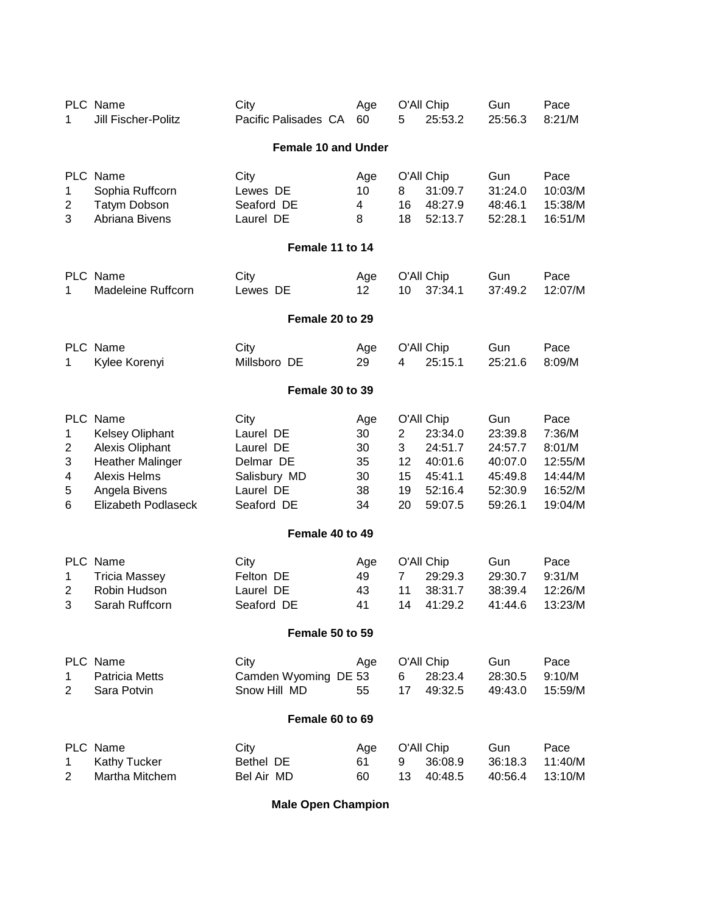| 1                          | PLC Name<br>Jill Fischer-Politz                                                                                                                               | City<br>Pacific Palisades CA                                                           | Age<br>60                               | 5                              | O'All Chip<br>25:53.2                                                        | Gun<br>25:56.3                                                        | Pace<br>8:21/M                                                       |  |  |  |
|----------------------------|---------------------------------------------------------------------------------------------------------------------------------------------------------------|----------------------------------------------------------------------------------------|-----------------------------------------|--------------------------------|------------------------------------------------------------------------------|-----------------------------------------------------------------------|----------------------------------------------------------------------|--|--|--|
|                            |                                                                                                                                                               | <b>Female 10 and Under</b>                                                             |                                         |                                |                                                                              |                                                                       |                                                                      |  |  |  |
| 1<br>2<br>3                | PLC Name<br>Sophia Ruffcorn<br><b>Tatym Dobson</b><br>Abriana Bivens                                                                                          | City<br>Lewes DE<br>Seaford DE<br>Laurel DE                                            | Age<br>10<br>4<br>8                     | 8<br>16<br>18                  | O'All Chip<br>31:09.7<br>48:27.9<br>52:13.7                                  | Gun<br>31:24.0<br>48:46.1<br>52:28.1                                  | Pace<br>10:03/M<br>15:38/M<br>16:51/M                                |  |  |  |
| Female 11 to 14            |                                                                                                                                                               |                                                                                        |                                         |                                |                                                                              |                                                                       |                                                                      |  |  |  |
| 1                          | PLC Name<br><b>Madeleine Ruffcorn</b>                                                                                                                         | City<br>Lewes DE                                                                       | Age<br>12                               | 10                             | O'All Chip<br>37:34.1                                                        | Gun<br>37:49.2                                                        | Pace<br>12:07/M                                                      |  |  |  |
| Female 20 to 29            |                                                                                                                                                               |                                                                                        |                                         |                                |                                                                              |                                                                       |                                                                      |  |  |  |
| 1                          | PLC Name<br>Kylee Korenyi                                                                                                                                     | City<br>Millsboro DE                                                                   | Age<br>29                               | 4                              | O'All Chip<br>25:15.1                                                        | Gun<br>25:21.6                                                        | Pace<br>8:09/M                                                       |  |  |  |
|                            |                                                                                                                                                               | Female 30 to 39                                                                        |                                         |                                |                                                                              |                                                                       |                                                                      |  |  |  |
| 1<br>2<br>3<br>4<br>5<br>6 | PLC Name<br><b>Kelsey Oliphant</b><br><b>Alexis Oliphant</b><br><b>Heather Malinger</b><br><b>Alexis Helms</b><br>Angela Bivens<br><b>Elizabeth Podlaseck</b> | City<br>Laurel DE<br>Laurel DE<br>Delmar DE<br>Salisbury MD<br>Laurel DE<br>Seaford DE | Age<br>30<br>30<br>35<br>30<br>38<br>34 | 2<br>3<br>12<br>15<br>19<br>20 | O'All Chip<br>23:34.0<br>24:51.7<br>40:01.6<br>45:41.1<br>52:16.4<br>59:07.5 | Gun<br>23:39.8<br>24:57.7<br>40:07.0<br>45:49.8<br>52:30.9<br>59:26.1 | Pace<br>7:36/M<br>8:01/M<br>12:55/M<br>14:44/M<br>16:52/M<br>19:04/M |  |  |  |
|                            |                                                                                                                                                               | Female 40 to 49                                                                        |                                         |                                |                                                                              |                                                                       |                                                                      |  |  |  |
| 1<br>2<br>3                | PLC Name<br><b>Tricia Massey</b><br>Robin Hudson<br>Sarah Ruffcorn                                                                                            | City<br>Felton DE<br>Laurel DE<br>Seaford DE                                           | Age<br>49<br>43<br>41                   | $\overline{7}$<br>11<br>14     | O'All Chip<br>29:29.3<br>38:31.7<br>41:29.2                                  | Gun<br>29:30.7<br>38:39.4<br>41:44.6                                  | Pace<br>9:31/M<br>12:26/M<br>13:23/M                                 |  |  |  |
|                            |                                                                                                                                                               | Female 50 to 59                                                                        |                                         |                                |                                                                              |                                                                       |                                                                      |  |  |  |
| 1<br>2                     | PLC Name<br><b>Patricia Metts</b><br>Sara Potvin                                                                                                              | City<br>Camden Wyoming DE 53<br>Snow Hill MD                                           | Age<br>55                               | 6<br>17                        | O'All Chip<br>28:23.4<br>49:32.5                                             | Gun<br>28:30.5<br>49:43.0                                             | Pace<br>9:10/M<br>15:59/M                                            |  |  |  |
|                            |                                                                                                                                                               | Female 60 to 69                                                                        |                                         |                                |                                                                              |                                                                       |                                                                      |  |  |  |
| 1<br>$\overline{2}$        | PLC Name<br><b>Kathy Tucker</b><br>Martha Mitchem                                                                                                             | City<br>Bethel DE<br>Bel Air MD                                                        | Age<br>61<br>60                         | 9<br>13                        | O'All Chip<br>36:08.9<br>40:48.5                                             | Gun<br>36:18.3<br>40:56.4                                             | Pace<br>11:40/M<br>13:10/M                                           |  |  |  |

**Male Open Champion**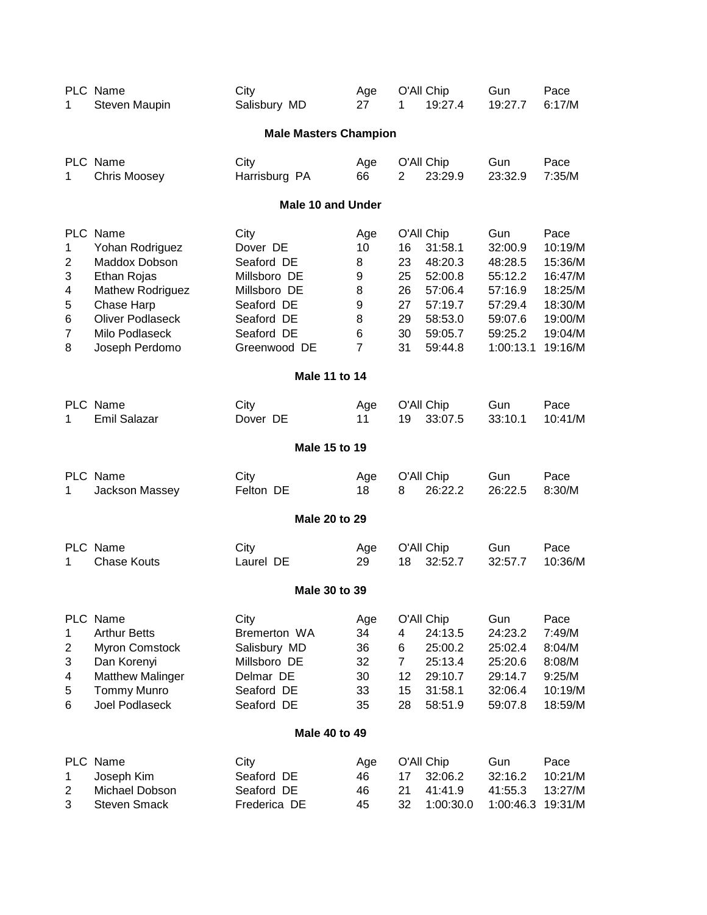| 1                                    | PLC Name<br>Steven Maupin                                                                                                                                    | City<br>Salisbury MD                                                                                                     | Age<br>27                                    | 1                                            | O'All Chip<br>19:27.4                                                                              | Gun<br>19:27.7                                                                                | Pace<br>6:17/M                                                                               |  |  |  |  |
|--------------------------------------|--------------------------------------------------------------------------------------------------------------------------------------------------------------|--------------------------------------------------------------------------------------------------------------------------|----------------------------------------------|----------------------------------------------|----------------------------------------------------------------------------------------------------|-----------------------------------------------------------------------------------------------|----------------------------------------------------------------------------------------------|--|--|--|--|
|                                      |                                                                                                                                                              | <b>Male Masters Champion</b>                                                                                             |                                              |                                              |                                                                                                    |                                                                                               |                                                                                              |  |  |  |  |
| 1                                    | PLC Name<br><b>Chris Moosey</b>                                                                                                                              | City<br>Harrisburg PA                                                                                                    | Age<br>66                                    | 2                                            | O'All Chip<br>23:29.9                                                                              | Gun<br>23:32.9                                                                                | Pace<br>7:35/M                                                                               |  |  |  |  |
|                                      | <b>Male 10 and Under</b>                                                                                                                                     |                                                                                                                          |                                              |                                              |                                                                                                    |                                                                                               |                                                                                              |  |  |  |  |
| 1<br>2<br>3<br>4<br>5<br>6<br>7<br>8 | PLC Name<br>Yohan Rodriguez<br>Maddox Dobson<br>Ethan Rojas<br>Mathew Rodriguez<br>Chase Harp<br><b>Oliver Podlaseck</b><br>Milo Podlaseck<br>Joseph Perdomo | City<br>Dover DE<br>Seaford DE<br>Millsboro DE<br>Millsboro DE<br>Seaford DE<br>Seaford DE<br>Seaford DE<br>Greenwood DE | Age<br>10<br>8<br>9<br>8<br>9<br>8<br>6<br>7 | 16<br>23<br>25<br>26<br>27<br>29<br>30<br>31 | O'All Chip<br>31:58.1<br>48:20.3<br>52:00.8<br>57:06.4<br>57:19.7<br>58:53.0<br>59:05.7<br>59:44.8 | Gun<br>32:00.9<br>48:28.5<br>55:12.2<br>57:16.9<br>57:29.4<br>59:07.6<br>59:25.2<br>1:00:13.1 | Pace<br>10:19/M<br>15:36/M<br>16:47/M<br>18:25/M<br>18:30/M<br>19:00/M<br>19:04/M<br>19:16/M |  |  |  |  |
| <b>Male 11 to 14</b>                 |                                                                                                                                                              |                                                                                                                          |                                              |                                              |                                                                                                    |                                                                                               |                                                                                              |  |  |  |  |
| 1                                    | PLC Name<br>Emil Salazar                                                                                                                                     | City<br>Dover DE                                                                                                         | Age<br>11                                    | 19                                           | O'All Chip<br>33:07.5                                                                              | Gun<br>33:10.1                                                                                | Pace<br>10:41/M                                                                              |  |  |  |  |
|                                      |                                                                                                                                                              | Male 15 to 19                                                                                                            |                                              |                                              |                                                                                                    |                                                                                               |                                                                                              |  |  |  |  |
| 1                                    | PLC Name<br>Jackson Massey                                                                                                                                   | City<br>Felton DE                                                                                                        | Age<br>18                                    | 8                                            | O'All Chip<br>26:22.2                                                                              | Gun<br>26:22.5                                                                                | Pace<br>8:30/M                                                                               |  |  |  |  |
|                                      |                                                                                                                                                              | <b>Male 20 to 29</b>                                                                                                     |                                              |                                              |                                                                                                    |                                                                                               |                                                                                              |  |  |  |  |
| 1                                    | PLC Name<br><b>Chase Kouts</b>                                                                                                                               | City<br>Laurel DE                                                                                                        | Age<br>29                                    | 18                                           | O'All Chip<br>32:52.7                                                                              | Gun<br>32:57.7                                                                                | Pace<br>10:36/M                                                                              |  |  |  |  |
|                                      |                                                                                                                                                              | Male 30 to 39                                                                                                            |                                              |                                              |                                                                                                    |                                                                                               |                                                                                              |  |  |  |  |
| PLC.<br>1<br>2<br>3<br>4<br>5<br>6   | Name<br><b>Arthur Betts</b><br><b>Myron Comstock</b><br>Dan Korenyi<br><b>Matthew Malinger</b><br><b>Tommy Munro</b><br><b>Joel Podlaseck</b>                | City<br>Bremerton WA<br>Salisbury MD<br>Millsboro DE<br>Delmar DE<br>Seaford DE<br>Seaford DE                            | Age<br>34<br>36<br>32<br>30<br>33<br>35      | 4<br>6<br>7<br>12<br>15<br>28                | O'All Chip<br>24:13.5<br>25:00.2<br>25:13.4<br>29:10.7<br>31:58.1<br>58:51.9                       | Gun<br>24:23.2<br>25:02.4<br>25:20.6<br>29:14.7<br>32:06.4<br>59:07.8                         | Pace<br>7:49/M<br>8:04/M<br>8:08/M<br>9:25/M<br>10:19/M<br>18:59/M                           |  |  |  |  |
|                                      |                                                                                                                                                              | Male 40 to 49                                                                                                            |                                              |                                              |                                                                                                    |                                                                                               |                                                                                              |  |  |  |  |
| 1<br>2<br>3                          | PLC Name<br>Joseph Kim<br>Michael Dobson<br><b>Steven Smack</b>                                                                                              | City<br>Seaford DE<br>Seaford DE<br>Frederica DE                                                                         | Age<br>46<br>46<br>45                        | 17<br>21<br>32                               | O'All Chip<br>32:06.2<br>41:41.9<br>1:00:30.0                                                      | Gun<br>32:16.2<br>41:55.3<br>1:00:46.3                                                        | Pace<br>10:21/M<br>13:27/M<br>19:31/M                                                        |  |  |  |  |